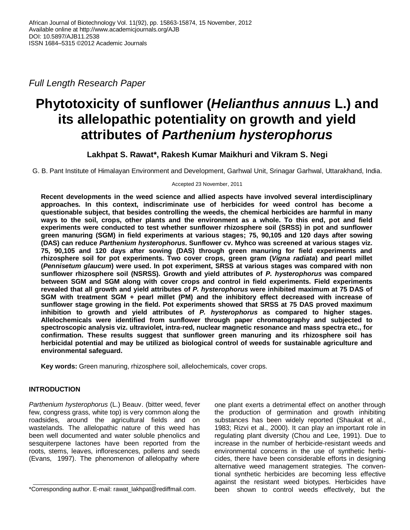*Full Length Research Paper*

# **Phytotoxicity of sunflower (***Helianthus annuus* **L.) and its allelopathic potentiality on growth and yield attributes of** *Parthenium hysterophorus*

**Lakhpat S. Rawat\*, Rakesh Kumar Maikhuri and Vikram S. Negi**

G. B. Pant Institute of Himalayan Environment and Development, Garhwal Unit, Srinagar Garhwal, Uttarakhand, India.

Accepted 23 November, 2011

**Recent developments in the weed science and allied aspects have involved several interdisciplinary approaches. In this context, indiscriminate use of herbicides for weed control has become a questionable subject, that besides controlling the weeds, the chemical herbicides are harmful in many ways to the soil, crops, other plants and the environment as a whole. To this end, pot and field experiments were conducted to test whether sunflower rhizosphere soil (SRSS) in pot and sunflower green manuring (SGM) in field experiments at various stages; 75, 90,105 and 120 days after sowing (DAS) can reduce** *Parthenium hysterophorus***. Sunflower cv. Myhco was screened at various stages viz. 75, 90,105 and 120 days after sowing (DAS) through green manuring for field experiments and rhizosphere soil for pot experiments. Two cover crops, green gram (***Vigna radiata***) and pearl millet (***Pennisetum glaucum***) were used. In pot experiment, SRSS at various stages was compared with non sunflower rhizosphere soil (NSRSS). Growth and yield attributes of** *P. hysterophorus* **was compared between SGM and SGM along with cover crops and control in field experiments. Field experiments revealed that all growth and yield attributes of** *P. hysterophorus* **were inhibited maximum at 75 DAS of SGM with treatment SGM + pearl millet (PM) and the inhibitory effect decreased with increase of sunflower stage growing in the field. Pot experiments showed that SRSS at 75 DAS proved maximum inhibition to growth and yield attributes of** *P. hysterophorus* **as compared to higher stages. Allelochemicals were identified from sunflower through paper chromatography and subjected to spectroscopic analysis viz. ultraviolet, intra-red, nuclear magnetic resonance and mass spectra etc., for confirmation. These results suggest that sunflower green manuring and its rhizosphere soil has herbicidal potential and may be utilized as biological control of weeds for sustainable agriculture and environmental safeguard.**

**Key words:** Green manuring, rhizosphere soil, allelochemicals, cover crops.

# **INTRODUCTION**

*Parthenium hysterophorus* (L.) Beauv. (bitter weed, fever few, congress grass, white top) is very common along the roadsides, around the agricultural fields and on wastelands. The allelopathic nature of this weed has been well documented and water soluble phenolics and sesquiterpene lactones have been reported from the roots, stems, leaves, inflorescences, pollens and seeds (Evans, 1997). The phenomenon of allelopathy where

one plant exerts a detrimental effect on another through the production of germination and growth inhibiting substances has been widely reported (Shaukat et al., 1983; Rizvi et al., 2000). It can play an important role in regulating plant diversity (Chou and Lee, 1991). Due to increase in the number of herbicide-resistant weeds and environmental concerns in the use of synthetic herbicides, there have been considerable efforts in designing alternative weed management strategies. The conventional synthetic herbicides are becoming less effective against the resistant weed biotypes. Herbicides have been shown to control weeds effectively, but the

<sup>\*</sup>Corresponding author. E-mail: rawat\_lakhpat@rediffmail.com.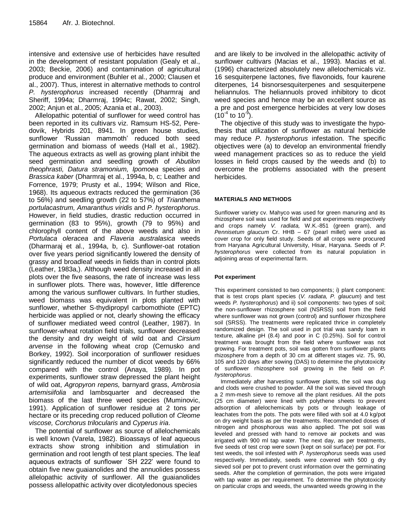intensive and extensive use of herbicides have resulted in the development of resistant population (Gealy et al., 2003; Beckie, 2006) and contamination of agricultural produce and environment (Buhler et al., 2000; Clausen et al., 2007). Thus, interest in alternative methods to control *P. hysterophorus* increased recently (Dharmraj and Sheriff, 1994a; Dharmraj, 1994c; Rawat, 2002; Singh, 2002; Anjun et al., 2005; Azania et al., 2003).

Allelopathic potential of sunflower for weed control has been reported in its cultivars viz. Ramsum HS-52, Peredovik, Hybrids 201, 8941. In green house studies, sunflower 'Russian mammoth' reduced both seed germination and biomass of weeds (Hall et al., 1982). The aqueous extracts as well as growing plant inhibit the seed germination and seedling growth of *Abutilon theophrasti, Datura stramonium, Ipomoea* species and *Brassica kaber* (Dharmraj et al., 1994a, b, c; Leather and Forrence, 1979; Prusty et al., 1994; Wilson and Rice, 1968). Its aqueous extracts reduced the germination (36 to 56%) and seedling growth (22 to 57%) of *Trianthema portulacastrum, Amaranthus viridis* and *P. hysterophorus*. However, in field studies, drastic reduction occurred in germination (83 to 95%), growth (79 to 95%) and chlorophyll content of the above weeds and also in *Portulaca oleracea* and *Flaveria australasica* weeds (Dharmaraj et al., 1994a, b, c). Sunflower-oat rotation over five years period significantly lowered the density of grassy and broadleaf weeds in fields than in control plots (Leather, 1983a,). Although weed density increased in all plots over the five seasons, the rate of increase was less in sunflower plots. There was, however, little difference among the various sunflower cultivars. In further studies, weed biomass was equivalent in plots planted with sunflower, whether S-thydipropyl carbomothiote (EPTC) herbicide was applied or not, clearly showing the efficacy of sunflower mediated weed control (Leather, 1987). In sunflower-wheat rotation field trials, sunflower decreased the density and dry weight of wild oat and *Cirsium arvense* in the following wheat crop (Cernusko and Borkey, 1992). Soil incorporation of sunflower residues significantly reduced the number of dicot weeds by 66% compared with the control (Anaya, 1989). In pot experiments, sunflower straw depressed the plant height of wild oat, *Agropyron repens,* barnyard grass, *Ambrosia artemisiifolia* and lambsquarter and decreased the biomass of the last three weed species (Muminovic, 1991). Application of sunflower residue at 2 tons per hectare or its preceding crop reduced pollution of *Cleome viscose, Corchorus trilocularis* and *Cyperus iria*.

The potential of sunflower as source of allelochemicals is well known (Varela, 1982). Bioassays of leaf aqueous extracts show strong inhibition and stimulation in germination and root length of test plant species. The leaf aqueous extracts of sunflower `SH 222' were found to obtain five new guaianolides and the annuolides possess allelopathic activity of sunflower. All the guaianolides possess allelopathic activity over dicotyledonous species

and are likely to be involved in the allelopathic activity of sunflower cultivars (Macias et al., 1993). Macias et al. (1996) characterized absolutely new allelochemicals viz. 16 sesquiterpene lactones, five flavonoids, four kaurene diterpenes, 14 bisnorsesquiterpenes and sesquiterpene heliannulos. The heliannuols proved inhibitory to dicot weed species and hence may be an excellent source as a pre and post emergence herbicides at very low doses  $(10^{-4}$  to  $10^{-9})$ .

The objective of this study was to investigate the hypothesis that utilization of sunflower as natural herbicide may reduce *P. hysterophorus* infestation. The specific objectives were (a) to develop an environmental friendly weed management practices so as to reduce the yield losses in field crops caused by the weeds and (b) to overcome the problems associated with the present herbicides.

#### **MATERIALS AND METHODS**

Sunflower variety cv. Mahyco was used for green manuring and its rhizosphere soil was used for field and pot experiments respectively and crops namely *V. radiata,* W.K.-851 (green gram), and *Pennisetum glaucum* Cr. HHB – 67 (pearl millet) were used as cover crop for only field study. Seeds of all crops were procured from Haryana Agricultural University, Hisar, Haryana. Seeds of *P. hysterophorus* were collected from its natural population in adjoining areas of experimental farm.

#### **Pot experiment**

This experiment consisted to two components; i) plant component: that is test crops plant species (*V. radiata, P. glaucum*) and test weeds *P. hysterophorus*) and ii) soil components: two types of soil; the non-sunflower rhizosphere soil (NSRSS) soil from the field where sunflower was not grown (control) and sunflower rhizosphere soil (SRSS). The treatments were replicated thrice in completely randomized design. The soil used in pot trial was sandy loam in texture, alkaline pH (8.4) and poor in C (0.25%). Soil for control treatment was brought from the field where sunflower was not growing. For treatment pots, soil was gotten from sunflower plants rhizosphere from a depth of 30 cm at different stages viz. 75, 90, 105 and 120 days after sowing (DAS) to determine the phytotoxicity of sunflower rhizosphere soil growing in the field on *P. hysterophorus*.

Immediately after harvesting sunflower plants, the soil was dug and clods were crushed to powder. All the soil was sieved through a 2 mm-mesh sieve to remove all the plant residues. All the pots (25 cm diameter) were lined with polythene sheets to prevent adsorption of allelochemicals by pots or through leakage of leachates from the pots. The pots were filled with soil at 4.0 kg/pot on dry weight basis as per the treatments. Recommended doses of nitrogen and phosphorous was also applied. The pot soil was leveled and pressed with hand to remove air pockets and was irrigated with 900 ml tap water. The next day, as per treatments, five seeds of test crop were sown (kept on soil surface) per pot. For test weeds, the soil infested with *P. hysterophorus* seeds was used respectively. Immediately, seeds were covered with 500 g dry sieved soil per pot to prevent crust information over the germinating seeds. After the completion of germination, the pots were irrigated with tap water as per requirement. To determine the phytotoxicity on particular crops and weeds, the unwanted weeds growing in the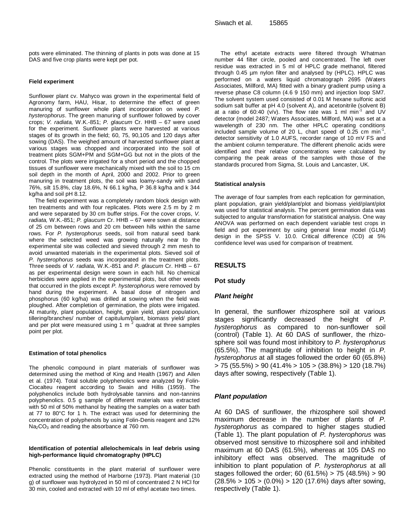pots were eliminated. The thinning of plants in pots was done at 15 DAS and five crop plants were kept per pot.

#### **Field experiment**

Sunflower plant cv. Mahyco was grown in the experimental field of Agronomy farm, HAU, Hisar, to determine the effect of green manuring of sunflower whole plant incorporation on weed *P. hysterophorus*. The green manuring of sunflower followed by cover crops; *V. radiata,* W.K.-851; *P. glaucum* Cr. HHB – 67 were used for the experiment. Sunflower plants were harvested at various stages of its growth in the field; 60, 75, 90,105 and 120 days after sowing (DAS). The weighed amount of harvested sunflower plant at various stages was chopped and incorporated into the soil of treatment plots SGM+PM and SGM+GG but not in the plots of the control. The plots were irrigated for a short period and the chopped tissues of sunflower were mechanically mixed with the soil to 15 cm soil depth in the month of April, 2000 and 2002. Prior to green manuring in treatment plots, the soil was loamy-sandy with sand 76%, silt 15.8%, clay 18.6%, N 66.1 kg/ha, P 36.8 kg/ha and k 344 kg/ha and soil pH 8.12.

The field experiment was a completely random block design with ten treatments and with four replicates. Plots were 2.5 m by 2 m and were separated by 30 cm buffer strips. For the cover crops, *V. radiata,* W.K.-851; *P. glaucum* Cr. HHB – 67 were sown at distance of 25 cm between rows and 20 cm between hills within the same rows. For *P. hysterophorus* seeds, soil from natural seed bank where the selected weed was growing naturally near to the experimental site was collected and sieved through 2 mm mesh to avoid unwanted materials in the experimental plots. Sieved soil of *P. hysterophorus* seeds was incorporated in the treatment plots. Three seeds of *V. radiata,* W.K.-851 and *P. glaucum* Cr. HHB – 67 as per experimental design were sown in each hill. No chemical herbicides were applied in the experimental plots, but other weeds that occurred in the plots except *P. hysterophorus* were removed by hand during the experiment. A basal dose of nitrogen and phosphorus (60 kg/ha) was drilled at sowing when the field was ploughed. After completion of germination, the plots were irrigated. At maturity, plant population, height, grain yield, plant population, tillering/branches/ number of capitulum/plant, biomass yield/ plant and per plot were measured using 1 m<sup>2</sup> quadrat at three samples point per plot.

#### **Estimation of total phenolics**

The phenolic compound in plant materials of sunflower was determined using the method of King and Health (1967) and Allen et al. (1974). Total soluble polyphenolics were analyzed by Folin-Ciocalteu reagent according to Swain and Hillis (1959). The polyphenolics include both hydrolysable tannins and non-tannins polyphenolics. 0.5 g sample of different materials was extracted with 50 ml of 50% methanol by heating the samples on a water bath at 77 to 80°C for 1 h. The extract was used for determining the concentration of polyphenols by using Folin-Denis reagent and 12%  $Na<sub>2</sub>CO<sub>3</sub>$  and reading the absorbance at 760 nm.

#### **Identification of potential allelochemicals in leaf debris using high-performance liquid chromatography (HPLC)**

Phenolic constituents in the plant material of sunflower were extracted using the method of Harborne (1973). Plant material (10 g) of sunflower was hydrolyzed in 50 ml of concentrated 2 N HCl for 30 min, cooled and extracted with 10 ml of ethyl acetate two times.

The ethyl acetate extracts were filtered through Whatman number 44 filter circle, pooled and concentrated. The left over residue was extracted in 5 ml of HPLC grade methanol, filtered through 0.45 µm nylon filter and analysed by (HPLC). HPLC was performed on a waters liquid chromatograph 2695 (Waters Associates, Millford, MA) fitted with a binary gradient pump using a reverse phase C8 column (4.6 9 150 mm) and injection loop SM7. The solvent system used consisted of 0.01 M hexane sulfonic acid sodium salt buffer at pH 4.0 (solvent A), and acetonitrile (solvent B) at a ratio of 60:40 (v/v). The flow rate was 1 ml min<sup>-1</sup> and UV detector (model 2487; Waters Associates, Millford, MA) was set at a wavelength of 230 nm. The other HPLC operating conditions included sample volume of 20 L, chart speed of 0.25 cm min<sup>-1</sup>, detector sensitivity of 1.0 AUFS, recorder range of 10 mV FS and the ambient column temperature. The different phenolic acids were identified and their relative concentrations were calculated by comparing the peak areas of the samples with those of the standards procured from Sigma, St. Louis and Lancaster, UK.

#### **Statistical analysis**

The average of four samples from each replication for germination, plant population, grain yield/plant/plot and biomass yield/plant/plot was used for statistical analysis. The percent germination data was subjected to angular transformation for statistical analysis. One way ANOVA was performed on each dependent variable test crops in field and pot experiment by using general linear model (GLM) design in the SPSS V. 10.0. Critical difference (CD) at 5% confidence level was used for comparison of treatment.

### **RESULTS**

#### **Pot study**

#### *Plant height*

In general, the sunflower rhizosphere soil at various stages significantly decreased the height of *P. hysterophorus* as compared to non-sunflower soil (control) (Table 1). At 60 DAS of sunflower, the rhizosphere soil was found most inhibitory to *P. hysterophorus* (65.5%). The magnitude of inhibition to height in *P. hysterophorus* at all stages followed the order 60 (65.8%) > 75 (55.5%) > 90 (41.4% > 105 > (38.8%) > 120 (18.7%) days after sowing, respectively (Table 1).

#### *Plant population*

At 60 DAS of sunflower, the rhizosphere soil showed maximum decrease in the number of plants of *P. hysterophorus* as compared to higher stages studied (Table 1). The plant population of *P. hysterophorus* was observed most sensitive to rhizosphere soil and inhibited maximum at 60 DAS (61.5%), whereas at 105 DAS no inhibitory effect was observed. The magnitude of inhibition to plant population of *P. hysterophorus* at all stages followed the order; 60 (61.5%) > 75 (48.5%) > 90 (28.5% > 105 > (0.0%) > 120 (17.6%) days after sowing, respectively (Table 1).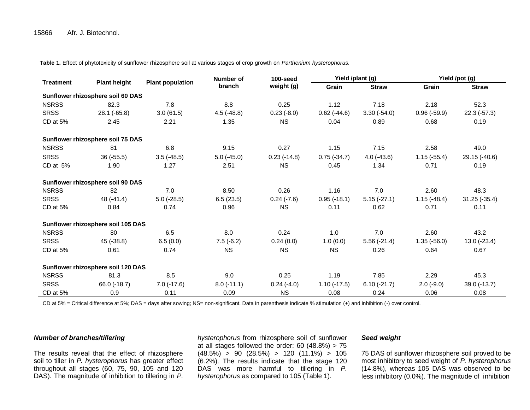**Table 1.** Effect of phytotoxicity of sunflower rhizosphere soil at various stages of crop growth on *Parthenium hysterophorus.*

| <b>Treatment</b> | <b>Plant height</b>                | <b>Plant population</b> | Number of<br>branch | 100-seed<br>weight (g) | Yield /plant (g) |               | Yield /pot (g) |                |
|------------------|------------------------------------|-------------------------|---------------------|------------------------|------------------|---------------|----------------|----------------|
|                  |                                    |                         |                     |                        | Grain            | <b>Straw</b>  | Grain          | <b>Straw</b>   |
|                  | Sunflower rhizosphere soil 60 DAS  |                         |                     |                        |                  |               |                |                |
| <b>NSRSS</b>     | 82.3                               | 7.8                     | 8.8                 | 0.25                   | 1.12             | 7.18          | 2.18           | 52.3           |
| <b>SRSS</b>      | $28.1(-65.8)$                      | 3.0(61.5)               | $4.5(-48.8)$        | $0.23(-8.0)$           | $0.62$ (-44.6)   | $3.30(-54.0)$ | $0.96(-59.9)$  | $22.3(-57.3)$  |
| CD at 5%         | 2.45                               | 2.21                    | 1.35                | <b>NS</b>              | 0.04             | 0.89          | 0.68           | 0.19           |
|                  | Sunflower rhizosphere soil 75 DAS  |                         |                     |                        |                  |               |                |                |
| <b>NSRSS</b>     | 81                                 | 6.8                     | 9.15                | 0.27                   | 1.15             | 7.15          | 2.58           | 49.0           |
| <b>SRSS</b>      | $36(-55.5)$                        | $3.5(-48.5)$            | $5.0(-45.0)$        | $0.23$ (-14.8)         | $0.75(-34.7)$    | $4.0(-43.6)$  | $1.15(-55.4)$  | 29.15 (-40.6)  |
| CD at $5%$       | 1.90                               | 1.27                    | 2.51                | <b>NS</b>              | 0.45             | 1.34          | 0.71           | 0.19           |
|                  | Sunflower rhizosphere soil 90 DAS  |                         |                     |                        |                  |               |                |                |
| <b>NSRSS</b>     | 82                                 | 7.0                     | 8.50                | 0.26                   | 1.16             | 7.0           | 2.60           | 48.3           |
| <b>SRSS</b>      | $48(-41.4)$                        | $5.0$ ( $-28.5$ )       | 6.5(23.5)           | $0.24$ (-7.6)          | $0.95(-18.1)$    | $5.15(-27.1)$ | $1.15(-48.4)$  | $31.25(-35.4)$ |
| CD at 5%         | 0.84                               | 0.74                    | 0.96                | <b>NS</b>              | 0.11             | 0.62          | 0.71           | 0.11           |
|                  | Sunflower rhizosphere soil 105 DAS |                         |                     |                        |                  |               |                |                |
| <b>NSRSS</b>     | 80                                 | 6.5                     | 8.0                 | 0.24                   | 1.0              | 7.0           | 2.60           | 43.2           |
| <b>SRSS</b>      | 45 (-38.8)                         | 6.5(0.0)                | $7.5(-6.2)$         | 0.24(0.0)              | 1.0(0.0)         | $5.56(-21.4)$ | $1.35(-56.0)$  | $13.0 (-23.4)$ |
| CD at 5%         | 0.61                               | 0.74                    | <b>NS</b>           | <b>NS</b>              | <b>NS</b>        | 0.26          | 0.64           | 0.67           |
|                  | Sunflower rhizosphere soil 120 DAS |                         |                     |                        |                  |               |                |                |
| <b>NSRSS</b>     | 81.3                               | 8.5                     | 9.0                 | 0.25                   | 1.19             | 7.85          | 2.29           | 45.3           |
| <b>SRSS</b>      | $66.0$ ( $-18.7$ )                 | $7.0$ ( $-17.6$ )       | $8.0(-11.1)$        | $0.24(-4.0)$           | $1.10(-17.5)$    | $6.10(-21.7)$ | $2.0(-9.0)$    | 39.0 (-13.7)   |
| CD at 5%         | 0.9                                | 0.11                    | 0.09                | <b>NS</b>              | 0.08             | 0.24          | 0.06           | 0.08           |

CD at 5% = Critical difference at 5%; DAS = days after sowing; NS= non-significant. Data in parenthesis indicate % stimulation (+) and inhibition (-) over control.

# *Number of branches/tillering*

The results reveal that the effect of rhizosphere soil to tiller in *P. hysterophorus* has greater effect throughout all stages (60, 75, 90, 105 and 120 DAS). The magnitude of inhibition to tillering in *P.*  *hysterophorus* from rhizosphere soil of sunflower at all stages followed the order: 60 (48.8%) > 75  $(48.5\%)$  > 90  $(28.5\%)$  > 120  $(11.1\%)$  > 105 (6.2%). The results indicate that the stage 120 DAS was more harmful to tillering in *P. hysterophorus* as compared to 105 (Table 1).

#### *Seed weight*

75 DAS of sunflower rhizosphere soil proved to be most inhibitory to seed weight of *P. hysterophorus* (14.8%), whereas 105 DAS was observed to be less inhibitory (0.0%). The magnitude of inhibition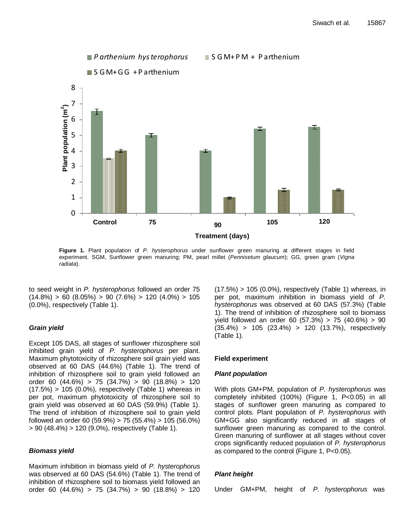

**Figure 1.** Plant population of *P. hysterophorus* under sunflower green manuring at different stages in field experiment. SGM, Sunflower green manuring; PM, pearl millet (*Pennisetum glaucum*); GG, green gram (*Vigna radiata*).

to seed weight in *P. hysterophorus* followed an order 75  $(14.8\%) > 60 (8.05\%) > 90 (7.6\%) > 120 (4.0\%) > 105$ (0.0%), respectively (Table 1).

# *Grain yield*

Except 105 DAS, all stages of sunflower rhizosphere soil inhibited grain yield of *P. hysterophorus* per plant. Maximum phytotoxicity of rhizosphere soil grain yield was observed at 60 DAS (44.6%) (Table 1). The trend of inhibition of rhizosphere soil to grain yield followed an order 60 (44.6%) > 75 (34.7%) > 90 (18.8%) > 120  $(17.5%) > 105 (0.0%)$ , respectively (Table 1) whereas in per pot, maximum phytotoxicity of rhizosphere soil to grain yield was observed at 60 DAS (59.9%) (Table 1). The trend of inhibition of rhizosphere soil to grain yield followed an order 60 (59.9%) > 75 (55.4%) > 105 (56.0%) > 90 (48.4%) > 120 (9.0%), respectively (Table 1).

# *Biomass yield*

Maximum inhibition in biomass yield of *P. hysterophorus* was observed at 60 DAS (54.6%) (Table 1). The trend of inhibition of rhizosphere soil to biomass yield followed an order 60 (44.6%) > 75 (34.7%) > 90 (18.8%) > 120  $(17.5%) > 105 (0.0%)$ , respectively (Table 1) whereas, in per pot, maximum inhibition in biomass yield of *P. hysterophorus* was observed at 60 DAS (57.3%) (Table 1). The trend of inhibition of rhizosphere soil to biomass yield followed an order 60 (57.3%) > 75 (40.6%) > 90 (35.4%) > 105 (23.4%) > 120 (13.7%), respectively (Table 1).

# **Field experiment**

# *Plant population*

With plots GM+PM, population of *P. hysterophorus* was completely inhibited (100%) (Figure 1, P<0.05) in all stages of sunflower green manuring as compared to control plots. Plant population of *P. hysterophorus* with GM+GG also significantly reduced in all stages of sunflower green manuring as compared to the control. Green manuring of sunflower at all stages without cover crops significantly reduced population of *P. hysterophorus* as compared to the control (Figure 1, P<0.05).

# *Plant height*

Under GM+PM, height of *P. hysterophorus* was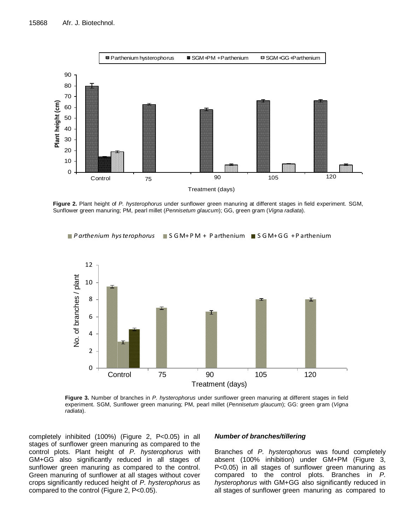

**Figure 2.** Plant height of *P. hysterophorus* under sunflower green manuring at different stages in field experiment. SGM, Sunflower green manuring; PM, pearl millet (*Pennisetum glaucum*); GG, green gram (*Vigna radiata*).

*P arthenium hys terophorus* S G M+ P M + P arthenium S G M+ G G + P arthenium



**Treatment (days)**<br> *s* under sunflower great,<br> **pearl millet (Pennis Figure 3.** Number of branches in *P. hysterophorus* under sunflower green manuring at different stages in field experiment. SGM, Sunflower green manuring; PM, pearl millet (*Pennisetum glaucum*); GG: green gram (*Vigna radiata*).

completely inhibited (100%) (Figure 2, P<0.05) in all stages of sunflower green manuring as compared to the control plots. Plant height of *P. hysterophorus* with GM+GG also significantly reduced in all stages of sunflower green manuring as compared to the control. Green manuring of sunflower at all stages without cover crops significantly reduced height of *P. hysterophorus* as compared to the control (Figure 2, P<0.05).

#### *Number of branches/tillering*

Branches of *P. hysterophorus* was found completely absent (100% inhibition) under GM+PM (Figure 3, P<0.05) in all stages of sunflower green manuring as compared to the control plots. Branches in *P. hysterophorus* with GM+GG also significantly reduced in all stages of sunflower green manuring as compared to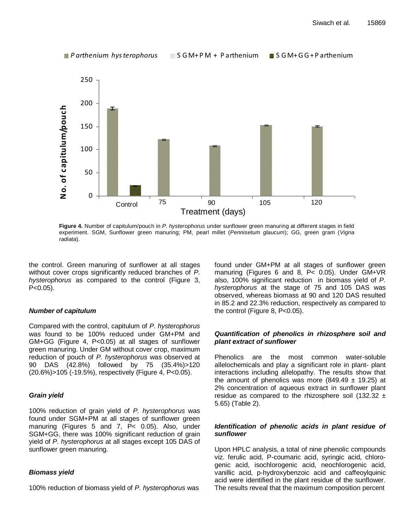

**Treatment (days)**<br> *Sterophorus* under sunflowe<br>
FRIST: PM, pearl millet (Pennis **Figure 4.** Number of capitulum/pouch in *P. hysterophorus* under sunflower green manuring at different stages in field experiment. SGM, Sunflower green manuring; PM, pearl millet (*Pennisetum glaucum*); GG, green gram (*Vigna radiata*).

the control. Green manuring of sunflower at all stages without cover crops significantly reduced branches of *P. hysterophorus* as compared to the control (Figure 3,  $P < 0.05$ ).

# *Number of capitulum*

Compared with the control, capitulum of *P. hysterophorus* was found to be 100% reduced under GM+PM and GM+GG (Figure 4, P<0.05) at all stages of sunflower green manuring. Under GM without cover crop, maximum reduction of pouch of *P. hysterophorus* was observed at 90 DAS (42.8%) followed by 75 (35.4%)>120 (20.6%)>105 (-19.5%), respectively (Figure 4, P<0.05).

# *Grain yield*

100% reduction of grain yield of *P. hysterophorus* was found under SGM+PM at all stages of sunflower green manuring (Figures 5 and 7, P< 0.05). Also, under SGM+GG, there was 100% significant reduction of grain yield of *P. hysterophorus* at all stages except 105 DAS of sunflower green manuring.

# *Biomass yield*

100% reduction of biomass yield of *P. hysterophorus* was

found under GM+PM at all stages of sunflower green manuring (Figures 6 and 8, P< 0.05). Under GM+VR also, 100% significant reduction in biomass yield of *P. hysterophorus* at the stage of 75 and 105 DAS was observed, whereas biomass at 90 and 120 DAS resulted in 85.2 and 22.3% reduction, respectively as compared to the control (Figure 8, P<0.05).

# *Quantification of phenolics in rhizosphere soil and plant extract of sunflower*

Phenolics are the most common water-soluble allelochemicals and play a significant role in plant- plant interactions including allelopathy. The results show that the amount of phenolics was more (849.49  $\pm$  19.25) at 2% concentration of aqueous extract in sunflower plant residue as compared to the rhizosphere soil (132.32  $\pm$ 5.65) (Table 2).

# *Identification of phenolic acids in plant residue of sunflower*

Upon HPLC analysis, a total of nine phenolic compounds viz. ferulic acid, P-coumaric acid, syringic acid, chlorogenic acid, isochlorogenic acid, neochlorogenic acid, vanillic acid, p-hydroxybenzoic acid and caffeoylquinic acid were identified in the plant residue of the sunflower. The results reveal that the maximum composition percent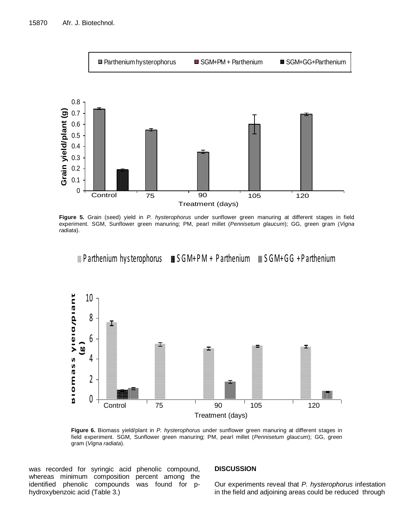

**Figure 5.** Grain (seed) yield in *P. hysterophorus* under sunflower green manuring at different stages in field experiment. SGM, Sunflower green manuring; PM, pearl millet (*Pennisetum glaucum*); GG, green gram (*Vigna radiata*).

**Parthenium hysterophorus**  $\equiv$  **S GM+ PM + P arthenium**  $\equiv$  S GM+ G G + P arthenium



**Taatment (date)**<br>
under sunflow<br>
The pearl r **Figure 6.** Biomass yield/plant in *P. hysterophorus* under sunflower green manuring at different stages in field experiment. SGM, Sunflower green manuring; PM, pearl millet (*Pennisetum glaucum*); GG, green gram (*Vigna radiata*).

was recorded for syringic acid phenolic compound, whereas minimum composition percent among the identified phenolic compounds was found for phydroxybenzoic acid (Table 3.)

#### **DISCUSSION**

Our experiments reveal that *P. hysterophorus* infestation in the field and adjoining areas could be reduced through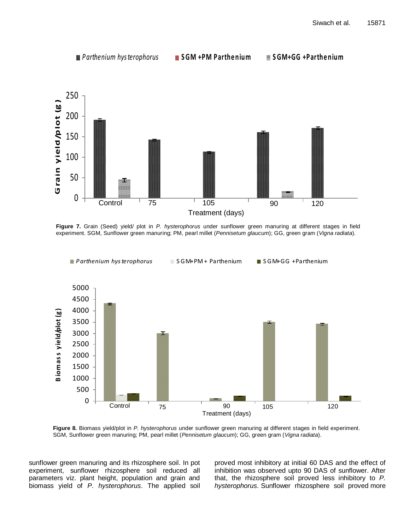

experiment. SGM, Sunflower green manuring; PM, pearl millet (*Pennisetum glaucum*); GG, green gram (*Vigna radiata*).



**Figure 8.** Biomass yield/plot in *P. hysterophorus* under sunflower green manuring at different stages in field experiment. SGM, Sunflower green manuring; PM, pearl millet (*Pennisetum glaucum*); GG, green gram (*Vigna radiata*).

sunflower green manuring and its rhizosphere soil. In pot experiment, sunflower rhizosphere soil reduced all parameters viz. plant height, population and grain and biomass yield of *P. hysterophorus*. The applied soil proved most inhibitory at initial 60 DAS and the effect of inhibition was observed upto 90 DAS of sunflower. After that, the rhizosphere soil proved less inhibitory to *P. hysterophorus*. Sunflower rhizosphere soil proved more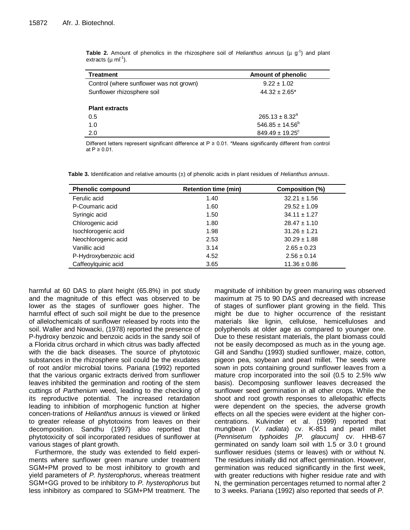| <b>Treatment</b>                        | Amount of phenolic              |
|-----------------------------------------|---------------------------------|
| Control (where sunflower was not grown) | $9.22 \pm 1.02$                 |
| Sunflower rhizosphere soil              | $44.32 \pm 2.65^*$              |
| <b>Plant extracts</b>                   |                                 |
| 0.5                                     | $265.13 \pm 8.32^a$             |
| 1.0                                     | $546.85 \pm 14.56^b$            |
| 2.0                                     | $849.49 \pm 19.25$ <sup>c</sup> |

**Table 2.** Amount of phenolics in the rhizosphere soil of *Helianthus annuus* ( $\mu$  g<sup>-1</sup>) and plant extracts (µ ml<sup>-1</sup>).

Different letters represent significant difference at P ≥ 0.01. \*Means significantly different from control at  $P \ge 0.01$ .

| <b>Phenolic compound</b> | <b>Retention time (min)</b> | Composition (%)  |
|--------------------------|-----------------------------|------------------|
| Ferulic acid             | 1.40                        | $32.21 \pm 1.56$ |
| P-Coumaric acid          | 1.60                        | $29.52 \pm 1.09$ |
| Syringic acid            | 1.50                        | $34.11 \pm 1.27$ |
| Chlorogenic acid         | 1.80                        | $28.47 \pm 1.10$ |
| Isochlorogenic acid      | 1.98                        | $31.26 \pm 1.21$ |
| Neochlorogenic acid      | 2.53                        | $30.29 \pm 1.88$ |
| Vanillic acid            | 3.14                        | $2.65 \pm 0.23$  |
| P-Hydroxybenzoic acid    | 4.52                        | $2.56 \pm 0.14$  |
| Caffeoylquinic acid      | 3.65                        | $11.36 \pm 0.86$ |

**Table 3.** Identification and relative amounts (±) of phenolic acids in plant residues of *Helianthus annuus*.

harmful at 60 DAS to plant height (65.8%) in pot study and the magnitude of this effect was observed to be lower as the stages of sunflower goes higher. The harmful effect of such soil might be due to the presence of allelochemicals of sunflower released by roots into the soil. Waller and Nowacki, (1978) reported the presence of P-hydroxy benzoic and benzoic acids in the sandy soil of a Florida citrus orchard in which citrus was badly affected with the die back diseases. The source of phytotoxic substances in the rhizosphere soil could be the exudates of root and/or microbial toxins. Pariana (1992) reported that the various organic extracts derived from sunflower leaves inhibited the germination and rooting of the stem cuttings of *Parthenium* weed, leading to the checking of its reproductive potential. The increased retardation leading to inhibition of morphogenic function at higher concen-trations of *Helianthus annuus* is viewed or linked to greater release of phytotoxins from leaves on their decomposition. Sandhu (1997) also reported that phytotoxicity of soil incorporated residues of sunflower at various stages of plant growth.

Furthermore, the study was extended to field experiments where sunflower green manure under treatment SGM+PM proved to be most inhibitory to growth and yield parameters of *P. hysterophorus*, whereas treatment SGM+GG proved to be inhibitory to *P. hysterophorus* but less inhibitory as compared to SGM+PM treatment. The magnitude of inhibition by green manuring was observed maximum at 75 to 90 DAS and decreased with increase of stages of sunflower plant growing in the field. This might be due to higher occurrence of the resistant materials like lignin, cellulose, hemicelluloses and polyphenols at older age as compared to younger one. Due to these resistant materials, the plant biomass could not be easily decomposed as much as in the young age. Gill and Sandhu (1993) studied sunflower, maize, cotton, pigeon pea, soybean and pearl millet. The seeds were sown in pots containing ground sunflower leaves from a mature crop incorporated into the soil (0.5 to 2.5% w/w basis). Decomposing sunflower leaves decreased the sunflower seed germination in all other crops. While the shoot and root growth responses to allelopathic effects were dependent on the species, the adverse growth effects on all the species were evident at the higher concentrations. Kulvinder et al. (1999) reported that mungbean (*V. radiata*) cv. K-851 and pearl millet (*Pennisetum typhoides [P. glaucum]* cv. HHB-67 germinated on sandy loam soil with 1.5 or 3.0 t ground sunflower residues (stems or leaves) with or without N. The residues initially did not affect germination. However, germination was reduced significantly in the first week, with greater reductions with higher residue rate and with N, the germination percentages returned to normal after 2 to 3 weeks. Pariana (1992) also reported that seeds of *P.*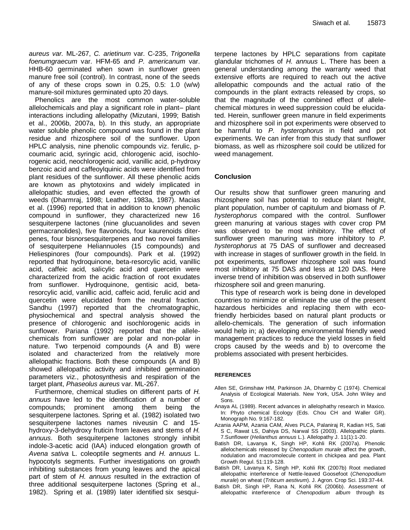*aureus var.* ML-267, *C. arietinum* var. C-235, *Trigonella foenumgraecum* var. HFM-65 and *P. americanum* var. HHB-60 germinated when sown in sunflower green manure free soil (control). In contrast, none of the seeds of any of these crops sown in 0.25, 0.5: 1.0 (w/w) manure-soil mixtures germinated upto 20 days.

Phenolics are the most common water-soluble allelochemicals and play a significant role in plant– plant interactions including allelopathy (Mizutani, 1999; Batish et al., 2006b, 2007a, b). In this study, an appropriate water soluble phenolic compound was found in the plant residue and rhizosphere soil of the sunflower. Upon HPLC analysis, nine phenolic compounds viz. ferulic, pcoumaric acid, syringic acid, chlorogenic acid, isochlorogenic acid, neochlorogenic acid, vanillic acid, p-hydroxy benzoic acid and caffeoylquinic acids were identified from plant residues of the sunflower. All these phenolic acids are known as phytotoxins and widely implicated in allelopathic studies, and even effected the growth of weeds (Dharmraj, 1998; Leather, 1983a, 1987). Macias et al. (1996) reported that in addition to known phenolic compound in sunflower, they characterized new 16 sesquiterpene lactones (nine glucuanolides and seven germacranolides), five flavonoids, four kaurenoids diterpenes, four bisnorsesquiterpenes and two novel families of sesquiterpene Heliannuoles (15 compounds) and Heliespinores (four compounds). Park et al. (1992) reported that hydroquinone, beta-resorcylic acid, vanillic acid, caffeic acid, salicylic acid and quercetin were characterized from the acidic fraction of root exudates from sunflower. Hydroquinone, gentisic acid, betaresorcylic acid, vanillic acid, caffeic acid, ferulic acid and quercetin were elucidated from the neutral fraction. Sandhu (1997) reported that the chromatographic, physiochemical and spectral analysis showed the presence of chlorogenic and isochlorogenic acids in sunflower. Pariana (1992) reported that the allelechemicals from sunflower are polar and non-polar in nature. Two terpenoid compounds (A and B) were isolated and characterized from the relatively more allelopathic fractions. Both these compounds (A and B) showed allelopathic activity and inhibited germination parameters viz., photosynthesis and respiration of the target plant, *Phaseolus aureus* var. ML-267.

Furthermore, chemical studies on different parts of *H. annuus* have led to the identification of a number of compounds; prominent among them being the sesquiterpene lactones. Spring et al. (1982) isolated two sesquiterpene lactones names niveusin C and 15 hydroxy-3-dehydroxy fruticin from leaves and stems of *H. annuus*. Both sesquiterpene lactones strongly inhibit indole-3-acetic acid (IAA) induced elongation growth of *Avena sativa* L. coleoptile segments and *H. annuus* L. hypocotyls segments. Further investigations on growth inhibiting substances from young leaves and the apical part of stem of *H. annuus* resulted in the extraction of three additional sesquiterpene lactones (Spring et al., 1982). Spring et al. (1989) later identified six sesquiterpene lactones by HPLC separations from capitate glandular trichomes of *H. annuus* L. There has been a general understanding among the warranty weed that extensive efforts are required to reach out the active allelopathic compounds and the actual ratio of the compounds in the plant extracts released by crops, so that the magnitude of the combined effect of allelechemical mixtures in weed suppression could be elucidated. Herein, sunflower green manure in field experiments and rhizosphere soil in pot experiments were observed to be harmful to *P. hysterophorus* in field and pot experiments. We can infer from this study that sunflower biomass, as well as rhizosphere soil could be utilized for weed management.

# **Conclusion**

Our results show that sunflower green manuring and rhizosphere soil has potential to reduce plant height, plant population, number of capitulum and biomass of *P. hysterophorus* compared with the control. Sunflower green manuring at various stages with cover crop PM was observed to be most inhibitory. The effect of sunflower green manuring was more inhibitory to *P. hysterophorus* at 75 DAS of sunflower and decreased with increase in stages of sunflower growth in the field. In pot experiments, sunflower rhizosphere soil was found most inhibitory at 75 DAS and less at 120 DAS. Here inverse trend of inhibition was observed in both sunflower rhizosphere soil and green manuring.

This type of research work is being done in developed countries to minimize or eliminate the use of the present hazardous herbicides and replacing them with ecofriendly herbicides based on natural plant products or allelo-chemicals. The generation of such information would help in; a) developing environmental friendly weed management practices to reduce the yield losses in field crops caused by the weeds and b) to overcome the problems associated with present herbicides.

#### **REFERENCES**

- Allen SE, Grimshaw HM, Parkinson JA, Dharmby C (1974). Chemical Analysis of Ecological Materials. New York, USA. John Wiley and Sons.
- Anaya AL (1989). Recent advances in allelophathy research in Maxico. In: Phyto chemical Ecology (Eds. Chou CH and Waller GR). Monograph No. 9:167-182.
- Azania AAPM, Azania CAM, Alves PLCA, Palaniraj R, Kadian HS, Sati S C, Rawat LS, Dahiya DS, Narwal SS (2003). Allelopathic plants. 7.Sunflower (*Helianthus annuus* L.). Allelopathy J. 11(1):1-20.
- Batish DR, Lavanya K, Singh HP, Kohli RK (2007a). Phenolic allelochemicals released by *Chenopodium murale* affect the growth, nodulation and macromolecule content in chickpea and pea. Plant Growth Regul. 51:119-128.
- Batish DR, Lavanya K, Singh HP, Kohli RK (2007b) Root mediated allelopathic interference of Nettle-leaved Goosefoot (*Chenopodium murale*) on wheat (*Triticum aestivum*). J. Agron. Crop Sci. 193:37-44.
- Batish DR, Singh HP, Rana N, Kohli RK (2006b). Assessment of allelopathic interference of *Chenopodium album* through its